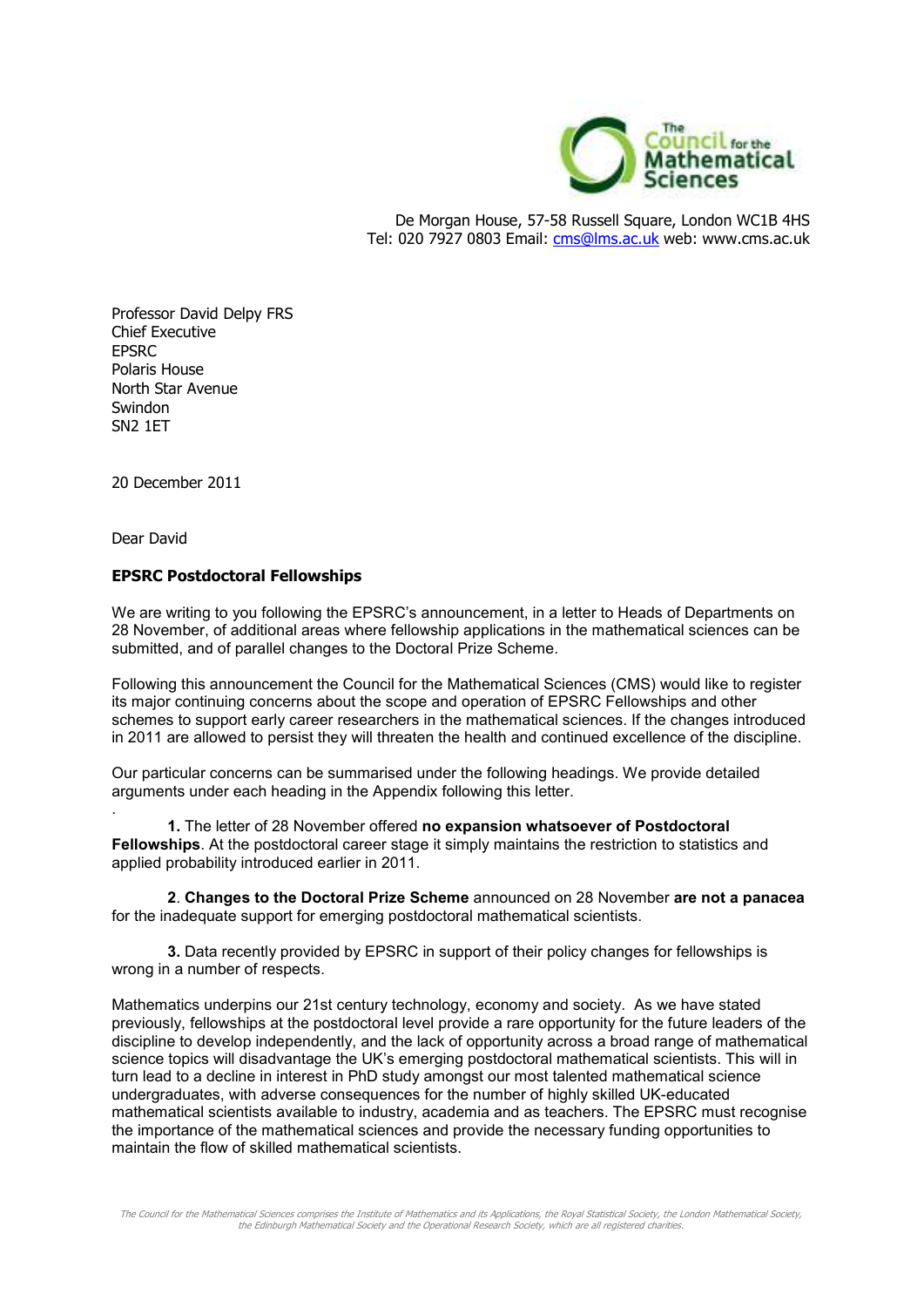

De Morgan House, 57-58 Russell Square, London WC1B 4HS Tel: 020 7927 0803 Email: cms@lms.ac.uk web: www.cms.ac.uk

Professor David Delpy FRS Chief Executive **EPSRC** Polaris House North Star Avenue Swindon SN2 1ET

20 December 2011

Dear David

## **EPSRC Postdoctoral Fellowships**

We are writing to you following the EPSRC's announcement, in a letter to Heads of Departments on 28 November, of additional areas where fellowship applications in the mathematical sciences can be submitted, and of parallel changes to the Doctoral Prize Scheme.

Following this announcement the Council for the Mathematical Sciences (CMS) would like to register its major continuing concerns about the scope and operation of EPSRC Fellowships and other schemes to support early career researchers in the mathematical sciences. If the changes introduced in 2011 are allowed to persist they will threaten the health and continued excellence of the discipline.

Our particular concerns can be summarised under the following headings. We provide detailed arguments under each heading in the Appendix following this letter.

. **1.** The letter of 28 November offered **no expansion whatsoever of Postdoctoral Fellowships**. At the postdoctoral career stage it simply maintains the restriction to statistics and applied probability introduced earlier in 2011.

**2**. **Changes to the Doctoral Prize Scheme** announced on 28 November **are not a panacea** for the inadequate support for emerging postdoctoral mathematical scientists.

**3.** Data recently provided by EPSRC in support of their policy changes for fellowships is wrong in a number of respects.

Mathematics underpins our 21st century technology, economy and society. As we have stated previously, fellowships at the postdoctoral level provide a rare opportunity for the future leaders of the discipline to develop independently, and the lack of opportunity across a broad range of mathematical science topics will disadvantage the UK's emerging postdoctoral mathematical scientists. This will in turn lead to a decline in interest in PhD study amongst our most talented mathematical science undergraduates, with adverse consequences for the number of highly skilled UK-educated mathematical scientists available to industry, academia and as teachers. The EPSRC must recognise the importance of the mathematical sciences and provide the necessary funding opportunities to maintain the flow of skilled mathematical scientists.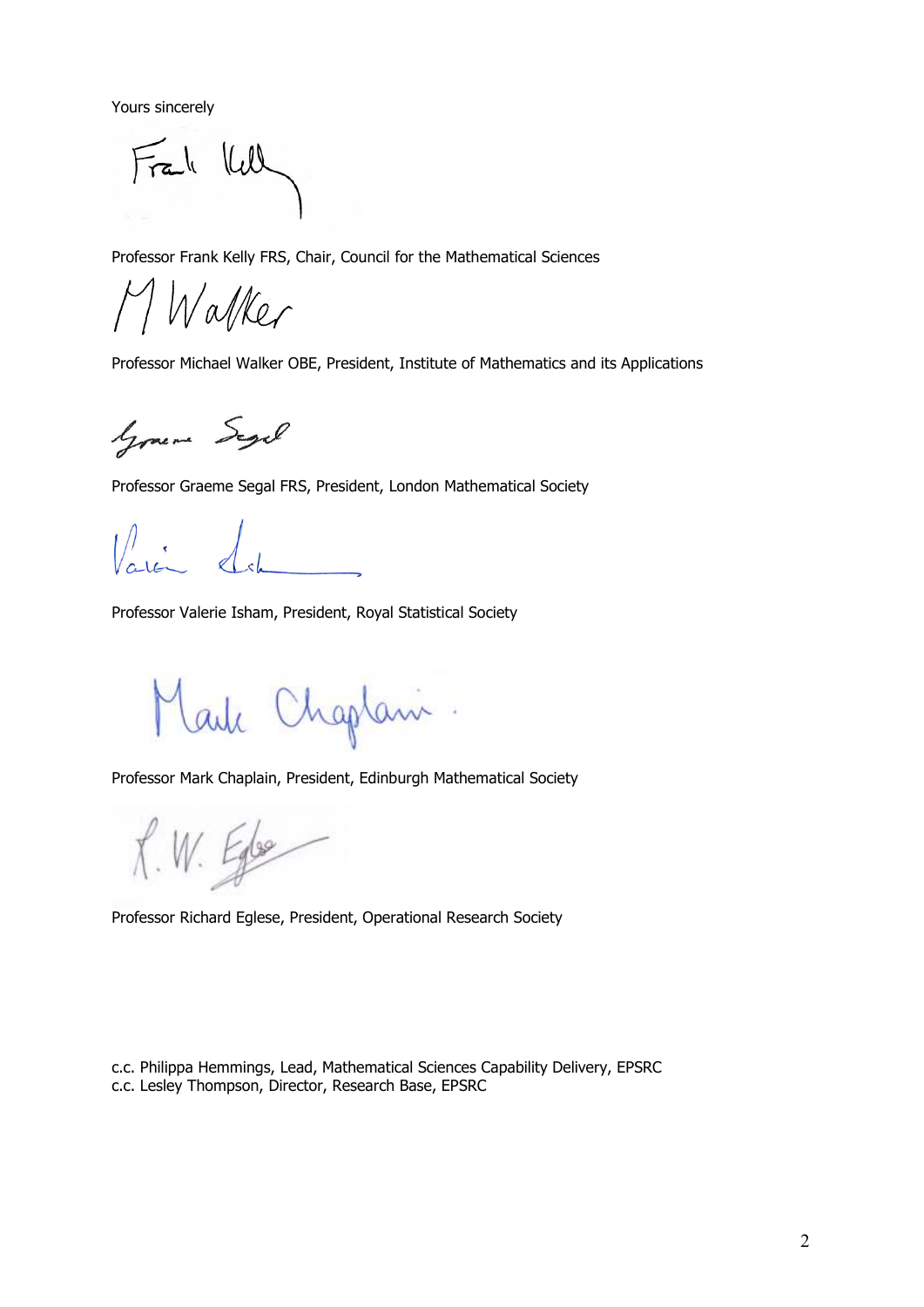Yours sincerely

Frak Kell

Professor Frank Kelly FRS, Chair, Council for the Mathematical Sciences

Walker

Professor Michael Walker OBE, President, Institute of Mathematics and its Applications

Gramme Segel

Professor Graeme Segal FRS, President, London Mathematical Society

Professor Valerie Isham, President, Royal Statistical Society

Lauk Chaptani

Professor Mark Chaplain, President, Edinburgh Mathematical Society

 $X. W. E_{10}$ 

Professor Richard Eglese, President, Operational Research Society

c.c. Philippa Hemmings, Lead, Mathematical Sciences Capability Delivery, EPSRC c.c. Lesley Thompson, Director, Research Base, EPSRC